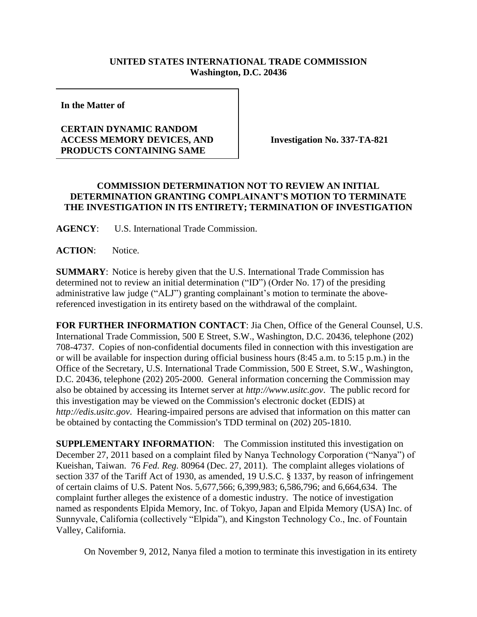## **UNITED STATES INTERNATIONAL TRADE COMMISSION Washington, D.C. 20436**

**In the Matter of** 

## **CERTAIN DYNAMIC RANDOM ACCESS MEMORY DEVICES, AND PRODUCTS CONTAINING SAME**

**Investigation No. 337-TA-821**

## **COMMISSION DETERMINATION NOT TO REVIEW AN INITIAL DETERMINATION GRANTING COMPLAINANT'S MOTION TO TERMINATE THE INVESTIGATION IN ITS ENTIRETY; TERMINATION OF INVESTIGATION**

**AGENCY**: U.S. International Trade Commission.

**ACTION**: Notice.

**SUMMARY**: Notice is hereby given that the U.S. International Trade Commission has determined not to review an initial determination ("ID") (Order No. 17) of the presiding administrative law judge ("ALJ") granting complainant's motion to terminate the abovereferenced investigation in its entirety based on the withdrawal of the complaint.

**FOR FURTHER INFORMATION CONTACT**: Jia Chen, Office of the General Counsel, U.S. International Trade Commission, 500 E Street, S.W., Washington, D.C. 20436, telephone (202) 708-4737. Copies of non-confidential documents filed in connection with this investigation are or will be available for inspection during official business hours (8:45 a.m. to 5:15 p.m.) in the Office of the Secretary, U.S. International Trade Commission, 500 E Street, S.W., Washington, D.C. 20436, telephone (202) 205-2000. General information concerning the Commission may also be obtained by accessing its Internet server at *http://www.usitc.gov*. The public record for this investigation may be viewed on the Commission's electronic docket (EDIS) at *http://edis.usitc.gov*. Hearing-impaired persons are advised that information on this matter can be obtained by contacting the Commission's TDD terminal on (202) 205-1810.

**SUPPLEMENTARY INFORMATION:** The Commission instituted this investigation on December 27, 2011 based on a complaint filed by Nanya Technology Corporation ("Nanya") of Kueishan, Taiwan. 76 *Fed. Reg.* 80964 (Dec. 27, 2011). The complaint alleges violations of section 337 of the Tariff Act of 1930, as amended, 19 U.S.C. § 1337, by reason of infringement of certain claims of U.S. Patent Nos. 5,677,566; 6,399,983; 6,586,796; and 6,664,634. The complaint further alleges the existence of a domestic industry. The notice of investigation named as respondents Elpida Memory, Inc. of Tokyo, Japan and Elpida Memory (USA) Inc. of Sunnyvale, California (collectively "Elpida"), and Kingston Technology Co., Inc. of Fountain Valley, California.

On November 9, 2012, Nanya filed a motion to terminate this investigation in its entirety